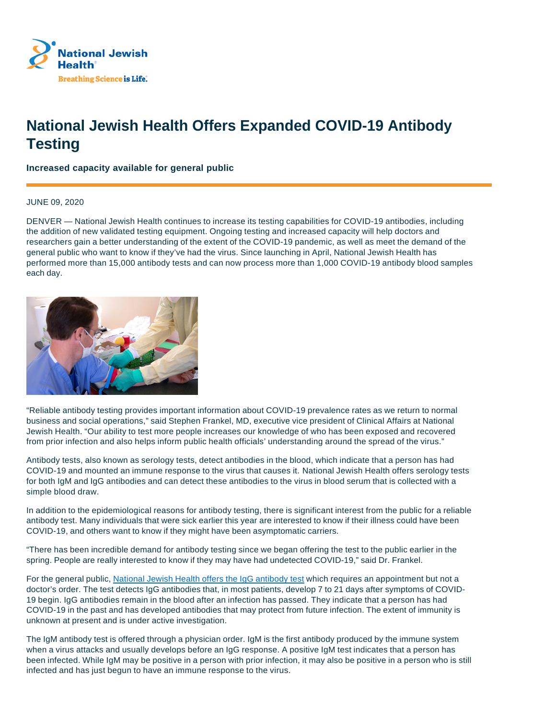

## **National Jewish Health Offers Expanded COVID-19 Antibody Testing**

**Increased capacity available for general public**

## JUNE 09, 2020

DENVER — National Jewish Health continues to increase its testing capabilities for COVID-19 antibodies, including the addition of new validated testing equipment. Ongoing testing and increased capacity will help doctors and researchers gain a better understanding of the extent of the COVID-19 pandemic, as well as meet the demand of the general public who want to know if they've had the virus. Since launching in April, National Jewish Health has performed more than 15,000 antibody tests and can now process more than 1,000 COVID-19 antibody blood samples each day.



"Reliable antibody testing provides important information about COVID-19 prevalence rates as we return to normal business and social operations," said Stephen Frankel, MD, executive vice president of Clinical Affairs at National Jewish Health. "Our ability to test more people increases our knowledge of who has been exposed and recovered from prior infection and also helps inform public health officials' understanding around the spread of the virus."

Antibody tests, also known as serology tests, detect antibodies in the blood, which indicate that a person has had COVID-19 and mounted an immune response to the virus that causes it. National Jewish Health offers serology tests for both IgM and IgG antibodies and can detect these antibodies to the virus in blood serum that is collected with a simple blood draw.

In addition to the epidemiological reasons for antibody testing, there is significant interest from the public for a reliable antibody test. Many individuals that were sick earlier this year are interested to know if their illness could have been COVID-19, and others want to know if they might have been asymptomatic carriers.

"There has been incredible demand for antibody testing since we began offering the test to the public earlier in the spring. People are really interested to know if they may have had undetected COVID-19," said Dr. Frankel.

For the general public, National Jewish Health offers the IgG antibody test which requires an appointment but not a doctor's order. The test detects IgG antibodies that, in most patients, develop 7 to 21 days after symptoms of COVID-19 begin. IgG antibodies remain in the blood after an infection has passed. They indicate that a person has had COVID-19 in the past and has developed antibodies that may protect from future infection. The extent of immunity is unknown at present and is under active investigation.

The IgM antibody test is offered through a physician order. IgM is the first antibody produced by the immune system when a virus attacks and usually develops before an IgG response. A positive IgM test indicates that a person has been infected. While IgM may be positive in a person with prior infection, it may also be positive in a person who is still infected and has just begun to have an immune response to the virus.